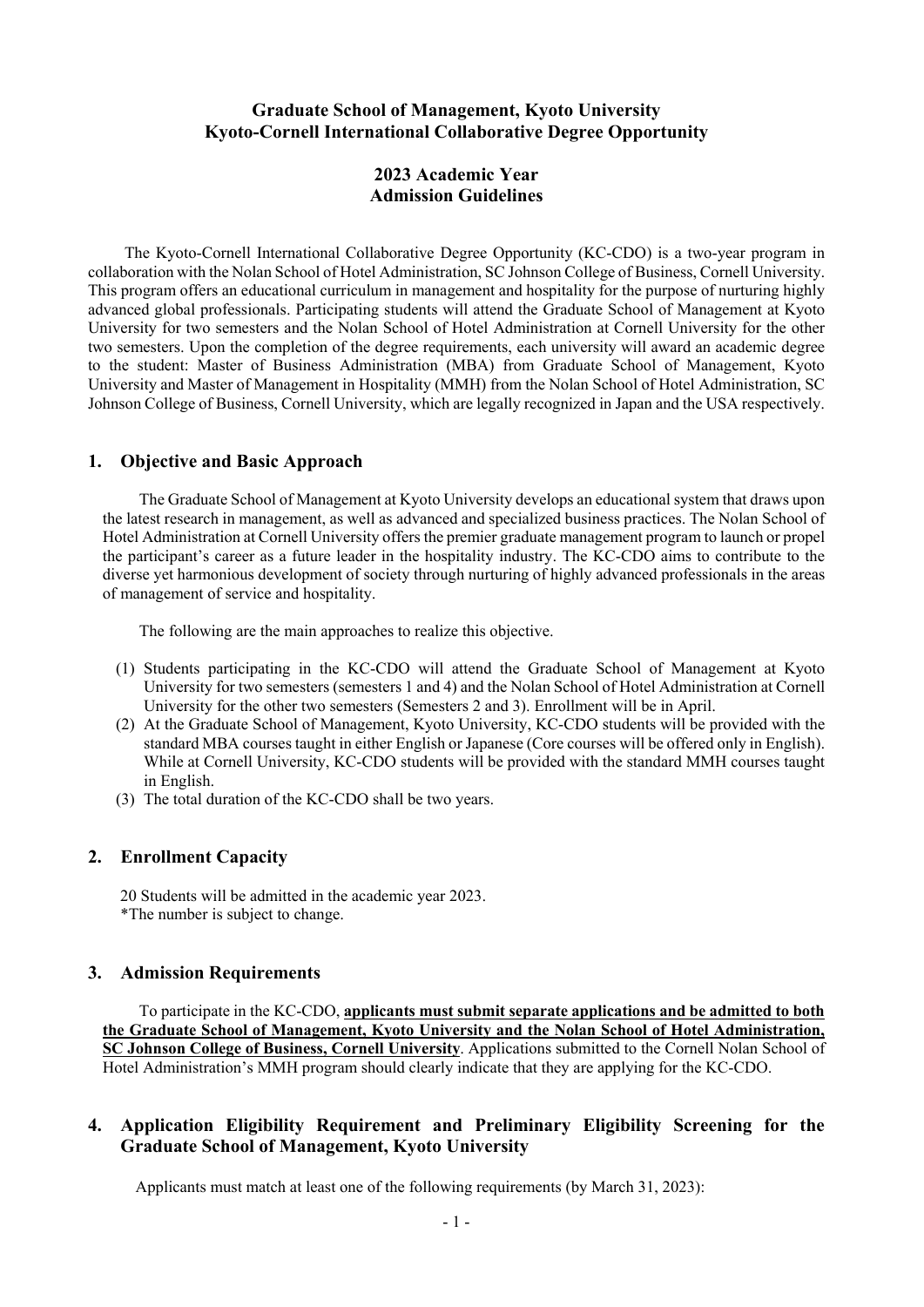# **Graduate School of Management, Kyoto University Kyoto-Cornell International Collaborative Degree Opportunity**

# **2023 Academic Year Admission Guidelines**

The Kyoto-Cornell International Collaborative Degree Opportunity (KC-CDO) is a two-year program in collaboration with the Nolan School of Hotel Administration, SC Johnson College of Business, Cornell University. This program offers an educational curriculum in management and hospitality for the purpose of nurturing highly advanced global professionals. Participating students will attend the Graduate School of Management at Kyoto University for two semesters and the Nolan School of Hotel Administration at Cornell University for the other two semesters. Upon the completion of the degree requirements, each university will award an academic degree to the student: Master of Business Administration (MBA) from Graduate School of Management, Kyoto University and Master of Management in Hospitality (MMH) from the Nolan School of Hotel Administration, SC Johnson College of Business, Cornell University, which are legally recognized in Japan and the USA respectively.

### **1. Objective and Basic Approach**

The Graduate School of Management at Kyoto University develops an educational system that draws upon the latest research in management, as well as advanced and specialized business practices. The Nolan School of Hotel Administration at Cornell University offers the premier graduate management program to launch or propel the participant's career as a future leader in the hospitality industry. The KC-CDO aims to contribute to the diverse yet harmonious development of society through nurturing of highly advanced professionals in the areas of management of service and hospitality.

The following are the main approaches to realize this objective.

- (1) Students participating in the KC-CDO will attend the Graduate School of Management at Kyoto University for two semesters (semesters 1 and 4) and the Nolan School of Hotel Administration at Cornell University for the other two semesters (Semesters 2 and 3). Enrollment will be in April.
- (2) At the Graduate School of Management, Kyoto University, KC-CDO students will be provided with the standard MBA courses taught in either English or Japanese (Core courses will be offered only in English). While at Cornell University, KC-CDO students will be provided with the standard MMH courses taught in English.
- (3) The total duration of the KC-CDO shall be two years.

### **2. Enrollment Capacity**

 20 Students will be admitted in the academic year 2023. \*The number is subject to change.

### **3. Admission Requirements**

To participate in the KC-CDO, **applicants must submit separate applications and be admitted to both the Graduate School of Management, Kyoto University and the Nolan School of Hotel Administration, SC Johnson College of Business, Cornell University**. Applications submitted to the Cornell Nolan School of Hotel Administration's MMH program should clearly indicate that they are applying for the KC-CDO.

# **4. Application Eligibility Requirement and Preliminary Eligibility Screening for the Graduate School of Management, Kyoto University**

Applicants must match at least one of the following requirements (by March 31, 2023):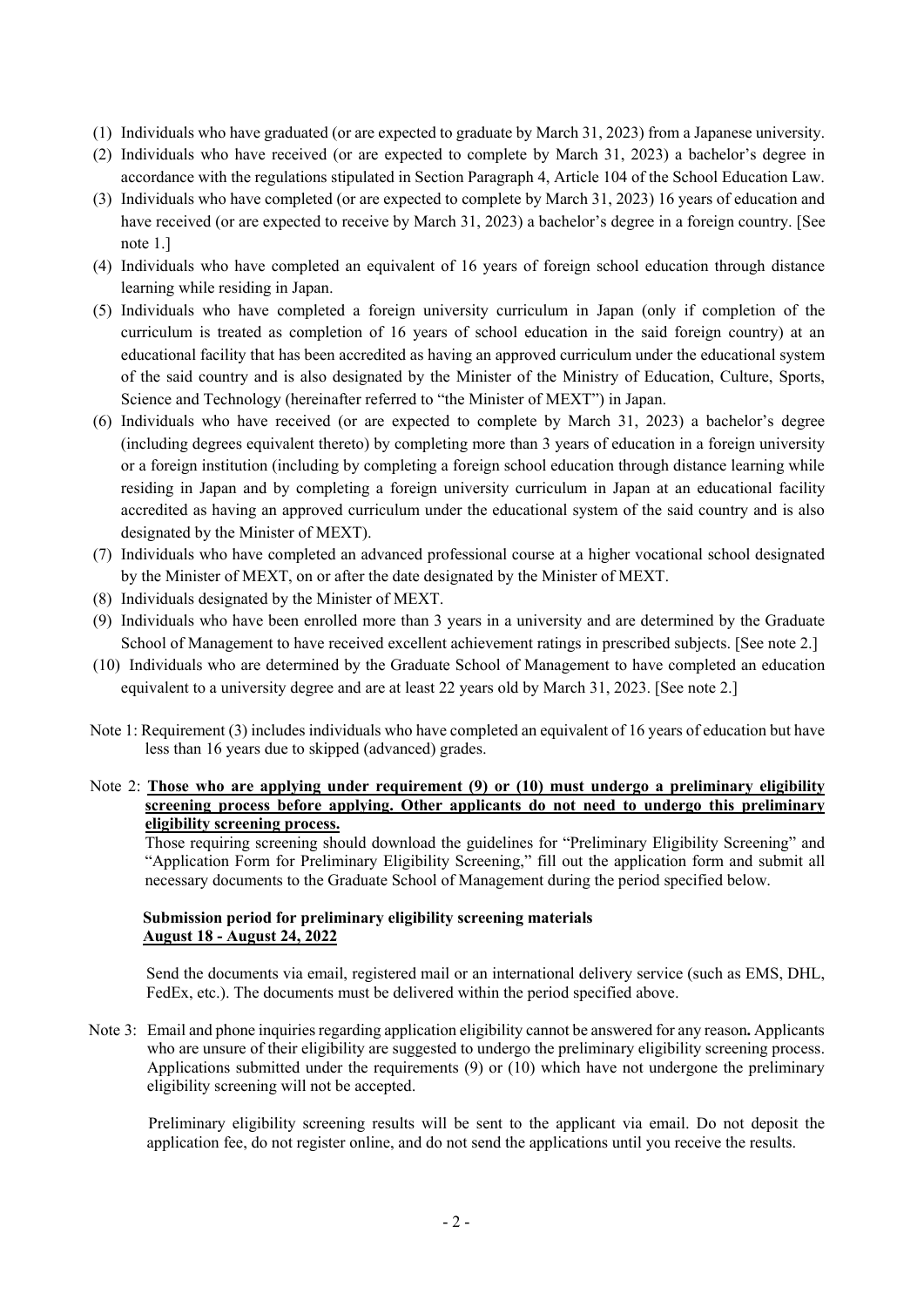- (1) Individuals who have graduated (or are expected to graduate by March 31, 2023) from a Japanese university.
- (2) Individuals who have received (or are expected to complete by March 31, 2023) a bachelor's degree in accordance with the regulations stipulated in Section Paragraph 4, Article 104 of the School Education Law.
- (3) Individuals who have completed (or are expected to complete by March 31, 2023) 16 years of education and have received (or are expected to receive by March 31, 2023) a bachelor's degree in a foreign country. [See note 1.]
- (4) Individuals who have completed an equivalent of 16 years of foreign school education through distance learning while residing in Japan.
- (5) Individuals who have completed a foreign university curriculum in Japan (only if completion of the curriculum is treated as completion of 16 years of school education in the said foreign country) at an educational facility that has been accredited as having an approved curriculum under the educational system of the said country and is also designated by the Minister of the Ministry of Education, Culture, Sports, Science and Technology (hereinafter referred to "the Minister of MEXT") in Japan.
- (6) Individuals who have received (or are expected to complete by March 31, 2023) a bachelor's degree (including degrees equivalent thereto) by completing more than 3 years of education in a foreign university or a foreign institution (including by completing a foreign school education through distance learning while residing in Japan and by completing a foreign university curriculum in Japan at an educational facility accredited as having an approved curriculum under the educational system of the said country and is also designated by the Minister of MEXT).
- (7) Individuals who have completed an advanced professional course at a higher vocational school designated by the Minister of MEXT, on or after the date designated by the Minister of MEXT.
- (8) Individuals designated by the Minister of MEXT.
- (9) Individuals who have been enrolled more than 3 years in a university and are determined by the Graduate School of Management to have received excellent achievement ratings in prescribed subjects. [See note 2.]
- (10) Individuals who are determined by the Graduate School of Management to have completed an education equivalent to a university degree and are at least 22 years old by March 31, 2023. [See note 2.]
- Note 1: Requirement (3) includes individuals who have completed an equivalent of 16 years of education but have less than 16 years due to skipped (advanced) grades.

### Note 2: **Those who are applying under requirement (9) or (10) must undergo a preliminary eligibility screening process before applying. Other applicants do not need to undergo this preliminary eligibility screening process.**

Those requiring screening should download the guidelines for "Preliminary Eligibility Screening" and "Application Form for Preliminary Eligibility Screening," fill out the application form and submit all necessary documents to the Graduate School of Management during the period specified below.

### **Submission period for preliminary eligibility screening materials August 18 - August 24, 2022**

Send the documents via email, registered mail or an international delivery service (such as EMS, DHL, FedEx, etc.). The documents must be delivered within the period specified above.

Note 3: Email and phone inquiries regarding application eligibility cannot be answered for any reason**.** Applicants who are unsure of their eligibility are suggested to undergo the preliminary eligibility screening process. Applications submitted under the requirements (9) or (10) which have not undergone the preliminary eligibility screening will not be accepted.

Preliminary eligibility screening results will be sent to the applicant via email. Do not deposit the application fee, do not register online, and do not send the applications until you receive the results.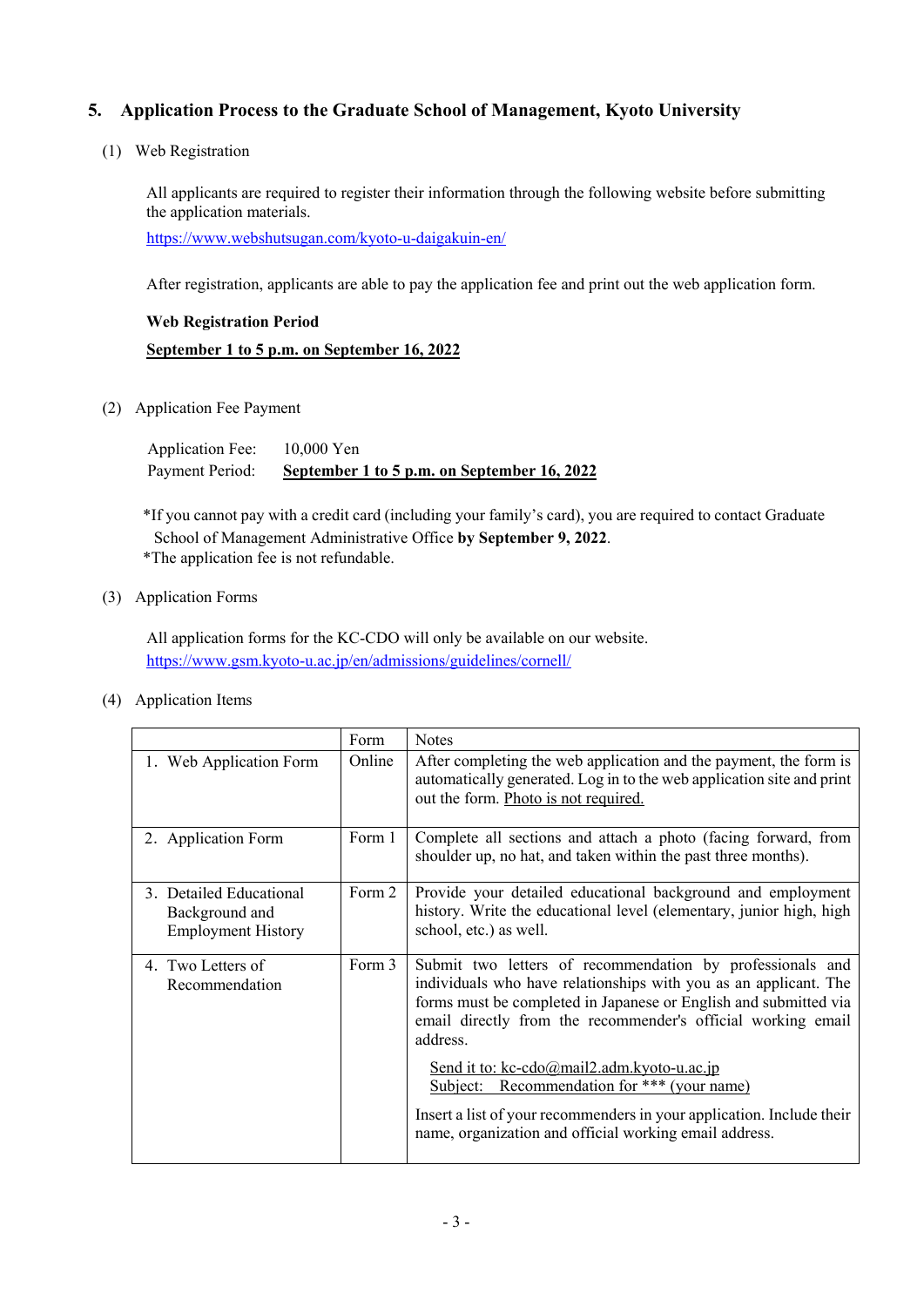# **5. Application Process to the Graduate School of Management, Kyoto University**

(1) Web Registration

All applicants are required to register their information through the following website before submitting the application materials.

https://www.webshutsugan.com/kyoto-u-daigakuin-en/

After registration, applicants are able to pay the application fee and print out the web application form.

# **Web Registration Period September 1 to 5 p.m. on September 16, 2022**

(2) Application Fee Payment

 Application Fee: 10,000 Yen Payment Period: **September 1 to 5 p.m. on September 16, 2022**

\*If you cannot pay with a credit card (including your family's card), you are required to contact Graduate School of Management Administrative Office **by September 9, 2022**. \*The application fee is not refundable.

(3) Application Forms

All application forms for the KC-CDO will only be available on our website. https://www.gsm.kyoto-u.ac.jp/en/admissions/guidelines/cornell/

(4) Application Items

|                                                                        | Form   | <b>Notes</b>                                                                                                                                                                                                                                                                                                                                                                                                                                                                                                                                    |
|------------------------------------------------------------------------|--------|-------------------------------------------------------------------------------------------------------------------------------------------------------------------------------------------------------------------------------------------------------------------------------------------------------------------------------------------------------------------------------------------------------------------------------------------------------------------------------------------------------------------------------------------------|
| 1. Web Application Form                                                | Online | After completing the web application and the payment, the form is<br>automatically generated. Log in to the web application site and print<br>out the form. Photo is not required.                                                                                                                                                                                                                                                                                                                                                              |
| 2. Application Form                                                    | Form 1 | Complete all sections and attach a photo (facing forward, from<br>shoulder up, no hat, and taken within the past three months).                                                                                                                                                                                                                                                                                                                                                                                                                 |
| 3. Detailed Educational<br>Background and<br><b>Employment History</b> | Form 2 | Provide your detailed educational background and employment<br>history. Write the educational level (elementary, junior high, high<br>school, etc.) as well.                                                                                                                                                                                                                                                                                                                                                                                    |
| 4. Two Letters of<br>Recommendation                                    | Form 3 | Submit two letters of recommendation by professionals and<br>individuals who have relationships with you as an applicant. The<br>forms must be completed in Japanese or English and submitted via<br>email directly from the recommender's official working email<br>address.<br>Send it to: $kc\text{-}cdo(\omega_{\text{mail2.add}}m.kyoto\text{-}u.ac.jp)$<br>Subject: Recommendation for *** (your name)<br>Insert a list of your recommenders in your application. Include their<br>name, organization and official working email address. |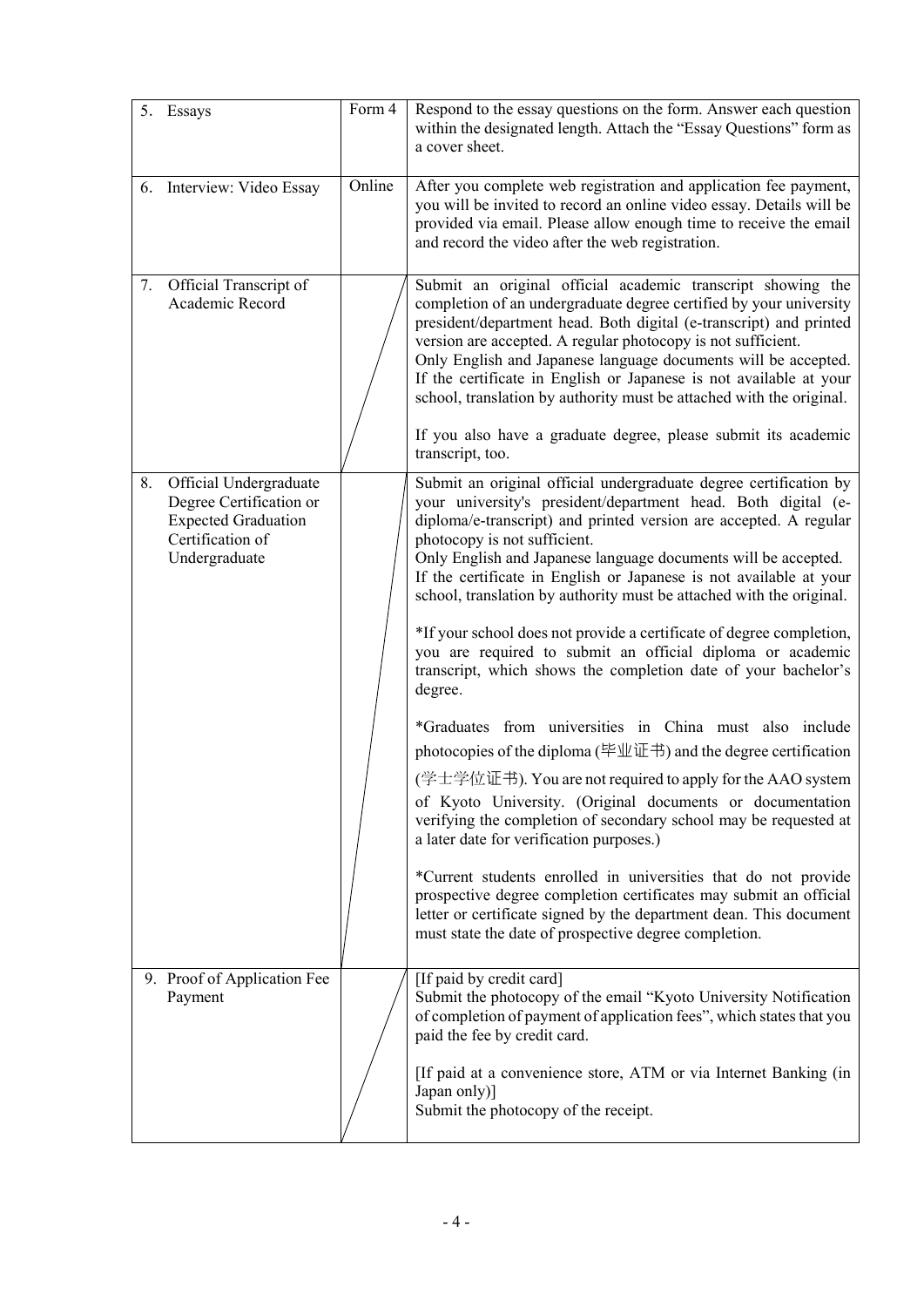|    | 5. Essays                                                                                                            | Form 4 | Respond to the essay questions on the form. Answer each question<br>within the designated length. Attach the "Essay Questions" form as<br>a cover sheet.                                                                                                                                                                                                                                                                                                                                                                                                                                                                                                                                                                                                                                                                                                                                                                                                                                                                                                                                                                                                                                                                                                                                                                 |
|----|----------------------------------------------------------------------------------------------------------------------|--------|--------------------------------------------------------------------------------------------------------------------------------------------------------------------------------------------------------------------------------------------------------------------------------------------------------------------------------------------------------------------------------------------------------------------------------------------------------------------------------------------------------------------------------------------------------------------------------------------------------------------------------------------------------------------------------------------------------------------------------------------------------------------------------------------------------------------------------------------------------------------------------------------------------------------------------------------------------------------------------------------------------------------------------------------------------------------------------------------------------------------------------------------------------------------------------------------------------------------------------------------------------------------------------------------------------------------------|
|    | 6. Interview: Video Essay                                                                                            | Online | After you complete web registration and application fee payment,<br>you will be invited to record an online video essay. Details will be<br>provided via email. Please allow enough time to receive the email<br>and record the video after the web registration.                                                                                                                                                                                                                                                                                                                                                                                                                                                                                                                                                                                                                                                                                                                                                                                                                                                                                                                                                                                                                                                        |
| 7. | Official Transcript of<br>Academic Record                                                                            |        | Submit an original official academic transcript showing the<br>completion of an undergraduate degree certified by your university<br>president/department head. Both digital (e-transcript) and printed<br>version are accepted. A regular photocopy is not sufficient.<br>Only English and Japanese language documents will be accepted.<br>If the certificate in English or Japanese is not available at your<br>school, translation by authority must be attached with the original.<br>If you also have a graduate degree, please submit its academic<br>transcript, too.                                                                                                                                                                                                                                                                                                                                                                                                                                                                                                                                                                                                                                                                                                                                            |
| 8. | Official Undergraduate<br>Degree Certification or<br><b>Expected Graduation</b><br>Certification of<br>Undergraduate |        | Submit an original official undergraduate degree certification by<br>your university's president/department head. Both digital (e-<br>diploma/e-transcript) and printed version are accepted. A regular<br>photocopy is not sufficient.<br>Only English and Japanese language documents will be accepted.<br>If the certificate in English or Japanese is not available at your<br>school, translation by authority must be attached with the original.<br>*If your school does not provide a certificate of degree completion,<br>you are required to submit an official diploma or academic<br>transcript, which shows the completion date of your bachelor's<br>degree.<br>*Graduates from universities in China must also include<br>photocopies of the diploma (毕业证书) and the degree certification<br>(学士学位证书). You are not required to apply for the AAO system<br>of Kyoto University. (Original documents or documentation<br>verifying the completion of secondary school may be requested at<br>a later date for verification purposes.)<br>*Current students enrolled in universities that do not provide<br>prospective degree completion certificates may submit an official<br>letter or certificate signed by the department dean. This document<br>must state the date of prospective degree completion. |
|    | 9. Proof of Application Fee<br>Payment                                                                               |        | [If paid by credit card]<br>Submit the photocopy of the email "Kyoto University Notification<br>of completion of payment of application fees", which states that you<br>paid the fee by credit card.<br>[If paid at a convenience store, ATM or via Internet Banking (in<br>Japan only)]<br>Submit the photocopy of the receipt.                                                                                                                                                                                                                                                                                                                                                                                                                                                                                                                                                                                                                                                                                                                                                                                                                                                                                                                                                                                         |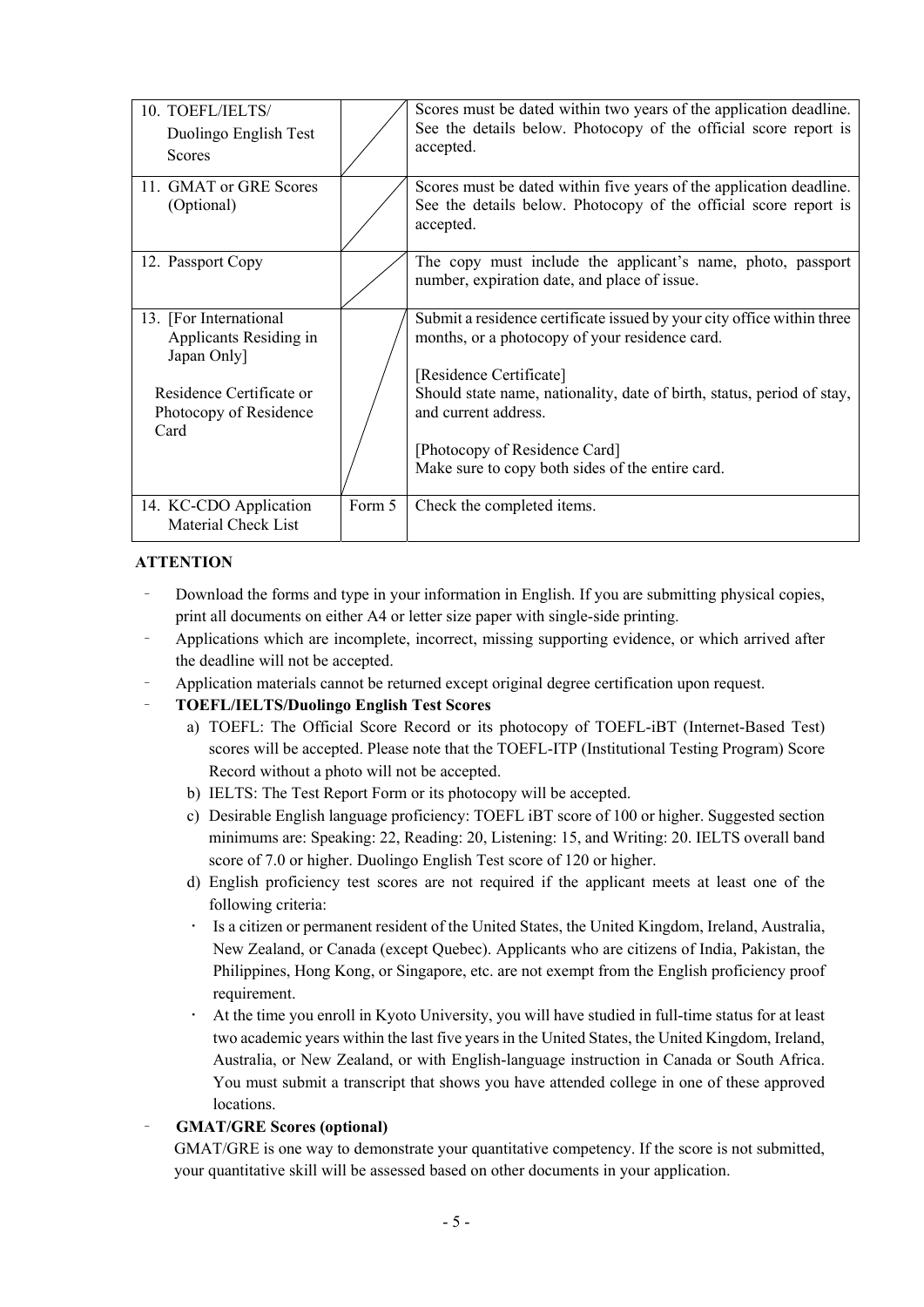| 10. TOEFL/IELTS/<br>Duolingo English Test<br>Scores                                                                           |        | Scores must be dated within two years of the application deadline.<br>See the details below. Photocopy of the official score report is<br>accepted.                                                                                                                                                                                        |
|-------------------------------------------------------------------------------------------------------------------------------|--------|--------------------------------------------------------------------------------------------------------------------------------------------------------------------------------------------------------------------------------------------------------------------------------------------------------------------------------------------|
| 11. GMAT or GRE Scores<br>(Optional)                                                                                          |        | Scores must be dated within five years of the application deadline.<br>See the details below. Photocopy of the official score report is<br>accepted.                                                                                                                                                                                       |
| 12. Passport Copy                                                                                                             |        | The copy must include the applicant's name, photo, passport<br>number, expiration date, and place of issue.                                                                                                                                                                                                                                |
| 13. [For International<br>Applicants Residing in<br>Japan Only]<br>Residence Certificate or<br>Photocopy of Residence<br>Card |        | Submit a residence certificate issued by your city office within three<br>months, or a photocopy of your residence card.<br>[Residence Certificate]<br>Should state name, nationality, date of birth, status, period of stay,<br>and current address.<br>[Photocopy of Residence Card]<br>Make sure to copy both sides of the entire card. |
| 14. KC-CDO Application<br>Material Check List                                                                                 | Form 5 | Check the completed items.                                                                                                                                                                                                                                                                                                                 |

### **ATTENTION**

- Download the forms and type in your information in English. If you are submitting physical copies, print all documents on either A4 or letter size paper with single-side printing.
- Applications which are incomplete, incorrect, missing supporting evidence, or which arrived after the deadline will not be accepted.
- Application materials cannot be returned except original degree certification upon request.

# – **TOEFL/IELTS/Duolingo English Test Scores**

- a) TOEFL: The Official Score Record or its photocopy of TOEFL-iBT (Internet-Based Test) scores will be accepted. Please note that the TOEFL-ITP (Institutional Testing Program) Score Record without a photo will not be accepted.
- b) IELTS: The Test Report Form or its photocopy will be accepted.
- c) Desirable English language proficiency: TOEFL iBT score of 100 or higher. Suggested section minimums are: Speaking: 22, Reading: 20, Listening: 15, and Writing: 20. IELTS overall band score of 7.0 or higher. Duolingo English Test score of 120 or higher.
- d) English proficiency test scores are not required if the applicant meets at least one of the following criteria:
- Is a citizen or permanent resident of the United States, the United Kingdom, Ireland, Australia, New Zealand, or Canada (except Quebec). Applicants who are citizens of India, Pakistan, the Philippines, Hong Kong, or Singapore, etc. are not exempt from the English proficiency proof requirement.
- At the time you enroll in Kyoto University, you will have studied in full-time status for at least two academic years within the last five years in the United States, the United Kingdom, Ireland, Australia, or New Zealand, or with English-language instruction in Canada or South Africa. You must submit a transcript that shows you have attended college in one of these approved locations.

### – **GMAT/GRE Scores (optional)**

GMAT/GRE is one way to demonstrate your quantitative competency. If the score is not submitted, your quantitative skill will be assessed based on other documents in your application.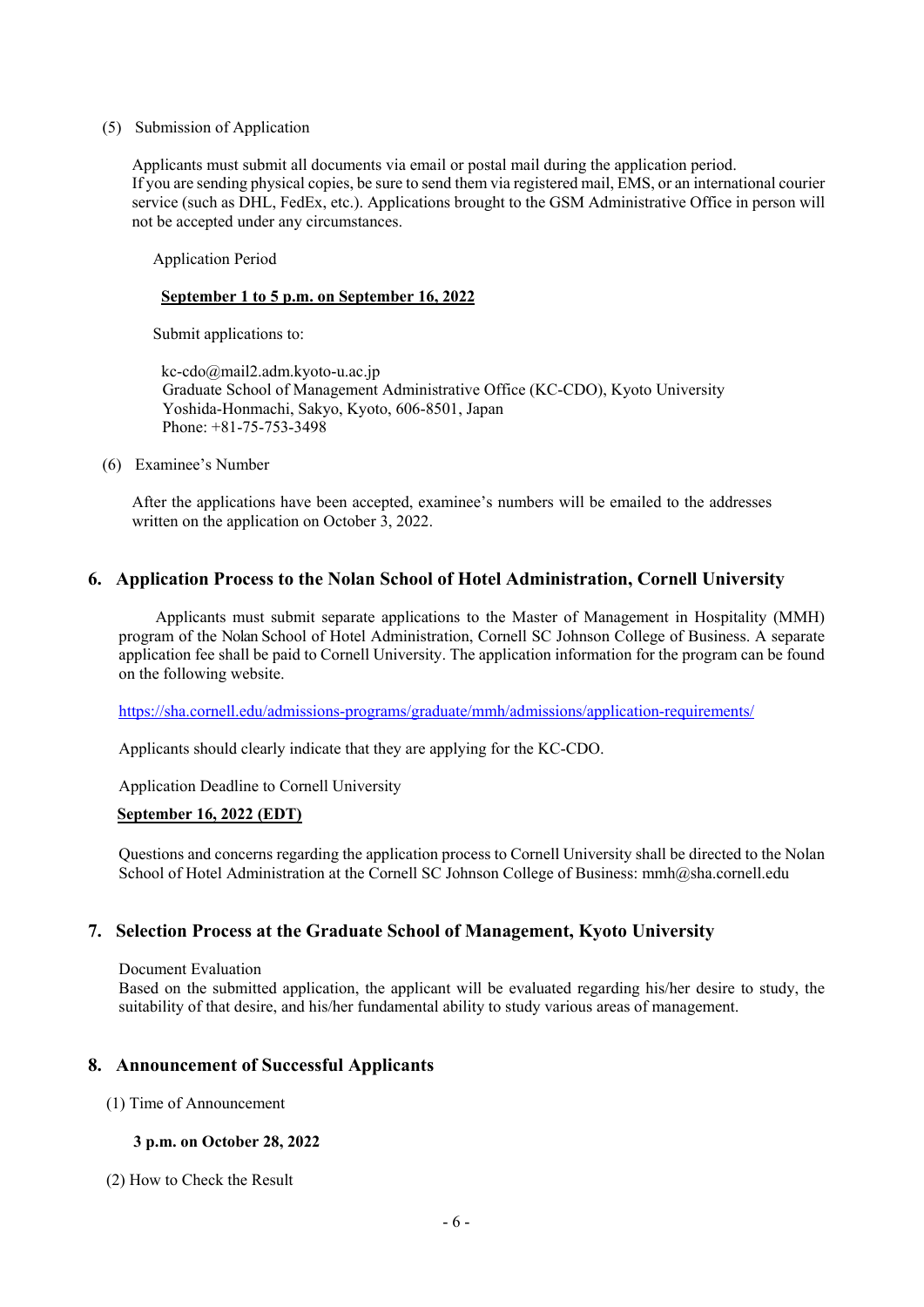#### (5) Submission of Application

Applicants must submit all documents via email or postal mail during the application period. If you are sending physical copies, be sure to send them via registered mail, EMS, or an international courier service (such as DHL, FedEx, etc.). Applications brought to the GSM Administrative Office in person will not be accepted under any circumstances.

Application Period

#### **September 1 to 5 p.m. on September 16, 2022**

Submit applications to:

kc-cdo@mail2.adm.kyoto-u.ac.jp Graduate School of Management Administrative Office (KC-CDO), Kyoto University Yoshida-Honmachi, Sakyo, Kyoto, 606-8501, Japan Phone: +81-75-753-3498

(6) Examinee's Number

After the applications have been accepted, examinee's numbers will be emailed to the addresses written on the application on October 3, 2022.

### **6. Application Process to the Nolan School of Hotel Administration, Cornell University**

Applicants must submit separate applications to the Master of Management in Hospitality (MMH) program of the Nolan School of Hotel Administration, Cornell SC Johnson College of Business. A separate application fee shall be paid to Cornell University. The application information for the program can be found on the following website.

https://sha.cornell.edu/admissions-programs/graduate/mmh/admissions/application-requirements/

Applicants should clearly indicate that they are applying for the KC-CDO.

Application Deadline to Cornell University

### **September 16, 2022 (EDT)**

Questions and concerns regarding the application process to Cornell University shall be directed to the Nolan School of Hotel Administration at the Cornell SC Johnson College of Business: mmh@sha.cornell.edu

# **7. Selection Process at the Graduate School of Management, Kyoto University**

#### Document Evaluation

Based on the submitted application, the applicant will be evaluated regarding his/her desire to study, the suitability of that desire, and his/her fundamental ability to study various areas of management.

### **8. Announcement of Successful Applicants**

(1) Time of Announcement

### **3 p.m. on October 28, 2022**

(2) How to Check the Result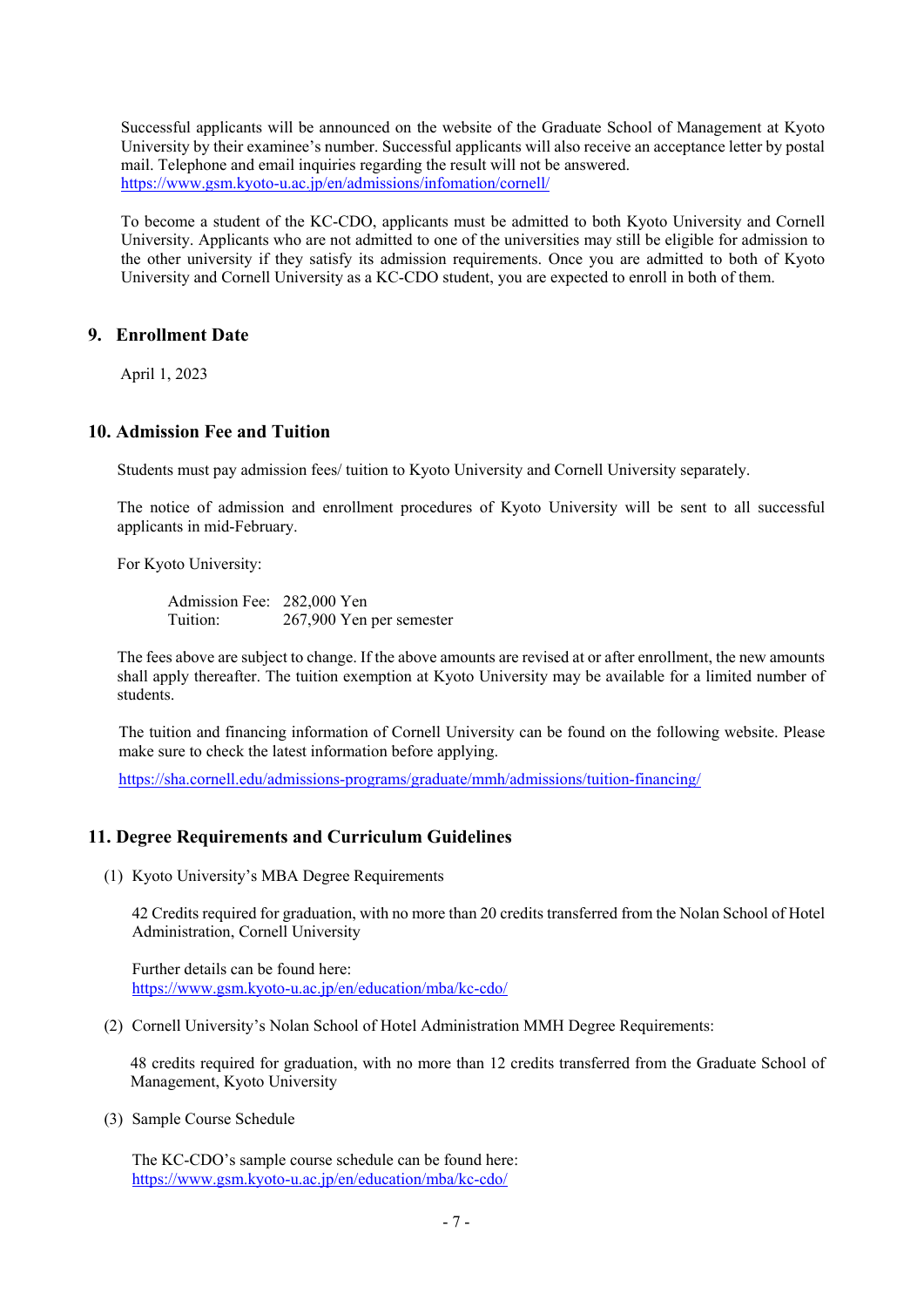Successful applicants will be announced on the website of the Graduate School of Management at Kyoto University by their examinee's number. Successful applicants will also receive an acceptance letter by postal mail. Telephone and email inquiries regarding the result will not be answered. https://www.gsm.kyoto-u.ac.jp/en/admissions/infomation/cornell/

To become a student of the KC-CDO, applicants must be admitted to both Kyoto University and Cornell University. Applicants who are not admitted to one of the universities may still be eligible for admission to the other university if they satisfy its admission requirements. Once you are admitted to both of Kyoto University and Cornell University as a KC-CDO student, you are expected to enroll in both of them.

# **9. Enrollment Date**

April 1, 2023

# **10. Admission Fee and Tuition**

Students must pay admission fees/ tuition to Kyoto University and Cornell University separately.

The notice of admission and enrollment procedures of Kyoto University will be sent to all successful applicants in mid-February.

For Kyoto University:

Admission Fee: 282,000 Yen Tuition: 267,900 Yen per semester

The fees above are subject to change. If the above amounts are revised at or after enrollment, the new amounts shall apply thereafter. The tuition exemption at Kyoto University may be available for a limited number of students.

The tuition and financing information of Cornell University can be found on the following website. Please make sure to check the latest information before applying.

https://sha.cornell.edu/admissions-programs/graduate/mmh/admissions/tuition-financing/

# **11. Degree Requirements and Curriculum Guidelines**

(1) Kyoto University's MBA Degree Requirements

42 Credits required for graduation, with no more than 20 credits transferred from the Nolan School of Hotel Administration, Cornell University

Further details can be found here: https://www.gsm.kyoto-u.ac.jp/en/education/mba/kc-cdo/

(2) Cornell University's Nolan School of Hotel Administration MMH Degree Requirements:

48 credits required for graduation, with no more than 12 credits transferred from the Graduate School of Management, Kyoto University

(3) Sample Course Schedule

The KC-CDO's sample course schedule can be found here: https://www.gsm.kyoto-u.ac.jp/en/education/mba/kc-cdo/